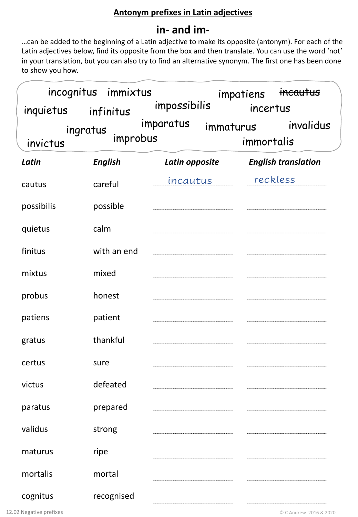# **Antonym prefixes in Latin adjectives**

# **in- and im-**

…can be added to the beginning of a Latin adjective to make its opposite (antonym). For each of the Latin adjectives below, find its opposite from the box and then translate. You can use the word 'not' in your translation, but you can also try to find an alternative synonym. The first one has been done to show you how.

| inquietus infinitus  | incognitus immixtus | impossibilis        | impatiens<br>incertus   | incautus                   |
|----------------------|---------------------|---------------------|-------------------------|----------------------------|
| ingratus<br>invictus | improbus            | imparatus           | immaturus<br>immortalis | invalidus                  |
| Latin                | <b>English</b>      | Latin opposite      |                         | <b>English translation</b> |
| cautus               | careful             | <u>incautus ___</u> | reckless                |                            |
| possibilis           | possible            |                     |                         |                            |
| quietus              | calm                |                     |                         |                            |
| finitus              | with an end         |                     |                         |                            |
| mixtus               | mixed               |                     |                         |                            |
| probus               | honest              |                     |                         |                            |
| patiens              | patient             |                     |                         |                            |
| gratus               | thankful            |                     |                         |                            |
| certus               | sure                |                     |                         |                            |
| victus               | defeated            |                     |                         |                            |
| paratus              | prepared            |                     |                         |                            |
| validus              | strong              |                     |                         |                            |
| maturus              | ripe                |                     |                         |                            |
| mortalis             | mortal              |                     |                         |                            |
| cognitus             | recognised          |                     |                         |                            |